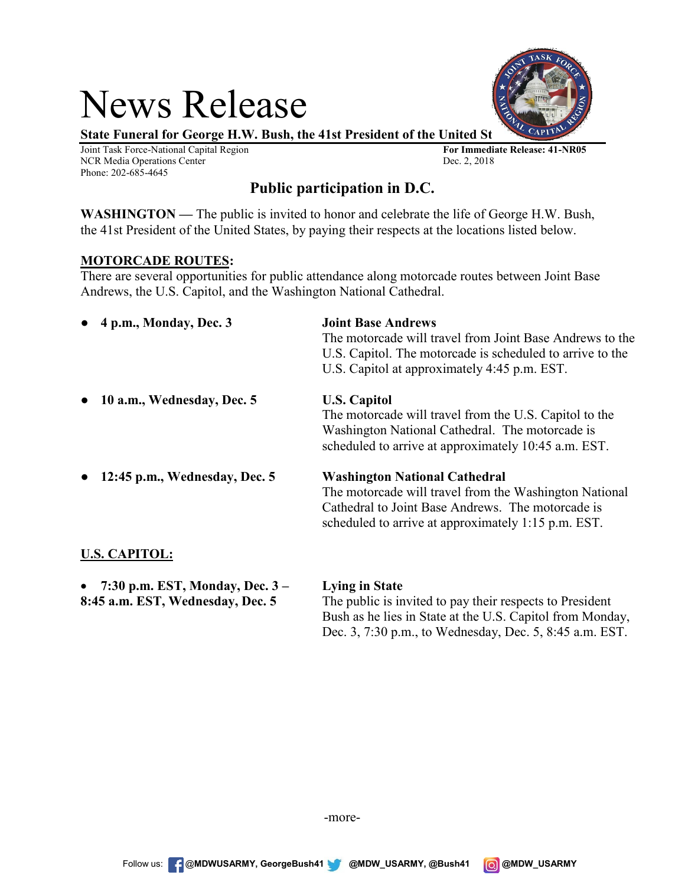# News Release

**State Funeral for George H.W. Bush, the 41st President of the United St** 

Joint Task Force-National Capital Region **For Immediate Release: 41-NR05** NCR Media Operations Center Dec. 2, 2018 Phone: 202-685-4645

# **Public participation in D.C.**

**WASHINGTON —** The public is invited to honor and celebrate the life of George H.W. Bush, the 41st President of the United States, by paying their respects at the locations listed below.

# **MOTORCADE ROUTES:**

There are several opportunities for public attendance along motorcade routes between Joint Base Andrews, the U.S. Capitol, and the Washington National Cathedral.

| 4 p.m., Monday, Dec. 3<br>$\bullet$        | <b>Joint Base Andrews</b><br>The motorcade will travel from Joint Base Andrews to the<br>U.S. Capitol. The motorcade is scheduled to arrive to the<br>U.S. Capitol at approximately 4:45 p.m. EST.         |
|--------------------------------------------|------------------------------------------------------------------------------------------------------------------------------------------------------------------------------------------------------------|
| 10 a.m., Wednesday, Dec. 5<br>$\bullet$    | <b>U.S. Capitol</b><br>The motorcade will travel from the U.S. Capitol to the<br>Washington National Cathedral. The motorcade is<br>scheduled to arrive at approximately 10:45 a.m. EST.                   |
| 12:45 p.m., Wednesday, Dec. 5<br>$\bullet$ | <b>Washington National Cathedral</b><br>The motorcade will travel from the Washington National<br>Cathedral to Joint Base Andrews. The motorcade is<br>scheduled to arrive at approximately 1:15 p.m. EST. |
| <b>U.S. CAPITOL:</b>                       |                                                                                                                                                                                                            |

| • 7:30 p.m. EST, Monday, Dec. $3-$ | Lying in State                                            |
|------------------------------------|-----------------------------------------------------------|
| 8:45 a.m. EST, Wednesday, Dec. 5   | The public is invited to pay their respects to President  |
|                                    | Bush as he lies in State at the U.S. Capitol from Monday, |
|                                    | Dec. 3, 7:30 p.m., to Wednesday, Dec. 5, 8:45 a.m. EST.   |